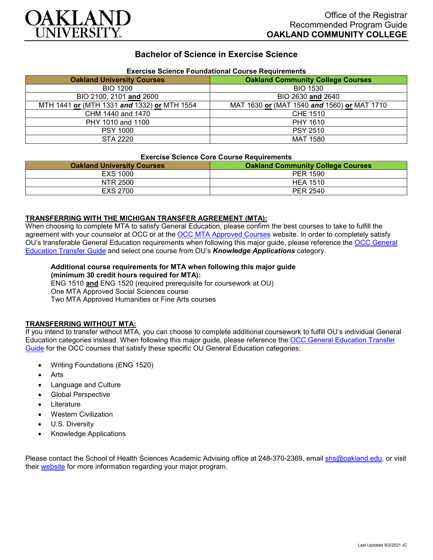

## **Bachelor of Science in Exercise Science**

| Exercise Science Foundational Course Requirements |                                             |
|---------------------------------------------------|---------------------------------------------|
| <b>Oakland University Courses</b>                 | <b>Oakland Community College Courses</b>    |
| <b>BIO 1200</b>                                   | <b>BIO 1530</b>                             |
| BIO 2100, 2101 and 2600                           | BIO 2630 and 2640                           |
| MTH 1441 or (MTH 1331 and 1332) or MTH 1554       | MAT 1630 or (MAT 1540 and 1560) or MAT 1710 |
| CHM 1440 and 1470                                 | CHE 1510                                    |
| PHY 1010 and 1100                                 | PHY 1610                                    |
| <b>PSY 1000</b>                                   | <b>PSY 2510</b>                             |
| STA 2220                                          | <b>MAT 1580</b>                             |

# **Exercise Science Foundational Course Requirements**

#### **Exercise Science Core Course Requirements**

| <b>Oakland University Courses</b> | <b>Oakland Community College Courses</b> |
|-----------------------------------|------------------------------------------|
| EXS 1000                          | <b>PER 1590</b>                          |
| NTR 2500                          | <b>HEA 1510</b>                          |
| EXS 2700                          | PER 2540                                 |

#### **TRANSFERRING WITH THE MICHIGAN TRANSFER AGREEMENT (MTA):**

When choosing to complete MTA to satisfy General Education, please confirm the best courses to take to fulfill the agreement with your counselor at OCC or at the [OCC MTA Approved Courses](http://catalog.oaklandcc.edu/graduation-requirements/michigan-transfer-agreement/) website. In order to completely satisfy OU's transferable General Education requirements when following this major guide, please reference the [OCC General](https://www.oakland.edu/Assets/Oakland/program-guides/oakland-community-college/university-general-education-requirements/OCC%20Gen%20Ed.pdf)  [Education Transfer Guide](https://www.oakland.edu/Assets/Oakland/program-guides/oakland-community-college/university-general-education-requirements/OCC%20Gen%20Ed.pdf) and select one course from OU's *Knowledge Applications* category.

## **Additional course requirements for MTA when following this major guide**

**(minimum 30 credit hours required for MTA):** ENG 1510 **and** ENG 1520 (required prerequisite for coursework at OU) One MTA Approved Social Sciences course Two MTA Approved Humanities or Fine Arts courses

#### **TRANSFERRING WITHOUT MTA:**

If you intend to transfer without MTA, you can choose to complete additional coursework to fulfill OU's individual General Education categories instead. When following this major guide, please reference the [OCC General Education Transfer](https://www.oakland.edu/Assets/Oakland/program-guides/oakland-community-college/university-general-education-requirements/OCC%20Gen%20Ed.pdf)  [Guide](https://www.oakland.edu/Assets/Oakland/program-guides/oakland-community-college/university-general-education-requirements/OCC%20Gen%20Ed.pdf) for the OCC courses that satisfy these specific OU General Education categories:

- Writing Foundations (ENG 1520)
- Arts
- Language and Culture
- Global Perspective
- **Literature**
- Western Civilization
- U.S. Diversity
- Knowledge Applications

Please contact the School of Health Sciences Academic Advising office at 248-370-2369, email [shs@oakland.edu,](mailto:shs@oakland.edu) or visit their [website](http://www.oakland.edu/shs/advising) for more information regarding your major program.